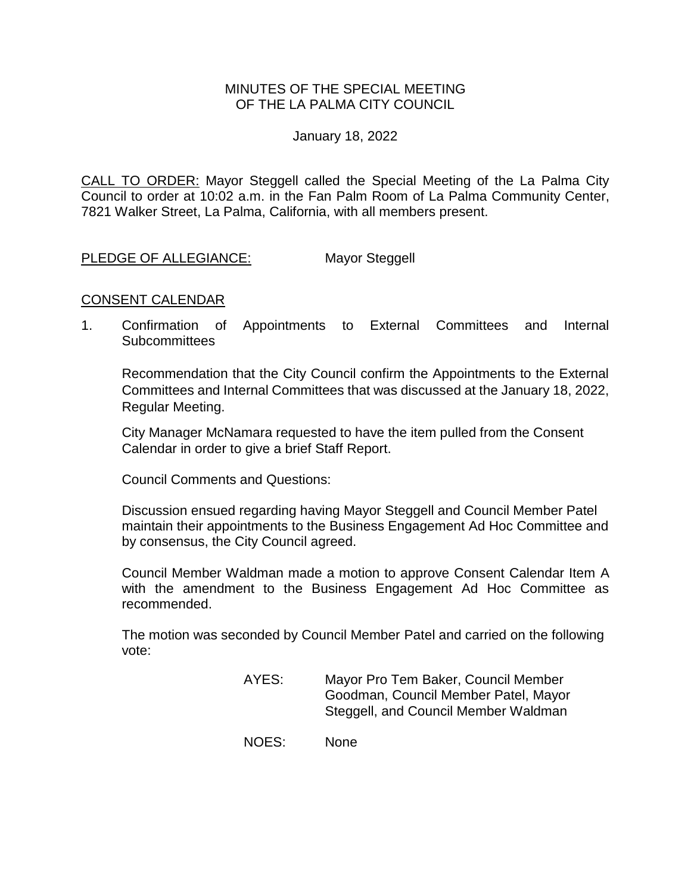## MINUTES OF THE SPECIAL MEETING OF THE LA PALMA CITY COUNCIL

January 18, 2022

CALL TO ORDER: [Mayor Steggell called the Special](https://lapalma.granicus.com/MediaPlayer.php?view_id=&clip_id=1276&meta_id=171633) Meeting of the La Palma City Council to order at 10:02 a.m. in the Fan Palm Room [of La Palma Community Center,](https://lapalma.granicus.com/MediaPlayer.php?view_id=&clip_id=1276&meta_id=171633)  7821 [Walker Street, La Palma, California, with all members present.](https://lapalma.granicus.com/MediaPlayer.php?view_id=&clip_id=1276&meta_id=171633)

[PLEDGE OF ALLEGIANCE:](https://lapalma.granicus.com/MediaPlayer.php?view_id=&clip_id=1276&meta_id=171641) Mayor Steggell

#### CONSENT CALENDAR

1. Confirmation of Appointments to External Committees and Internal **Subcommittees** 

Recommendation that the City Council confirm the Appointments to the External Committees and Internal Committees that was discussed at the January 18, 2022, Regular Meeting.

City Manager McNamara requested to have the item pulled from the Consent Calendar in order to give a brief Staff Report.

Council Comments and Questions:

Discussion ensued regarding having Mayor Steggell and Council Member Patel maintain their appointments to the Business Engagement Ad Hoc Committee and by consensus, the City Council agreed.

Council Member Waldman made a motion to approve Consent Calendar Item A with the amendment to the Business Engagement Ad Hoc Committee as recommended.

The motion was seconded by Council Member Patel and carried on the following vote:

- AYES: Mayor Pro Tem Baker, Council Member Goodman, Council Member Patel, Mayor Steggell, and Council Member Waldman
- NOES: None